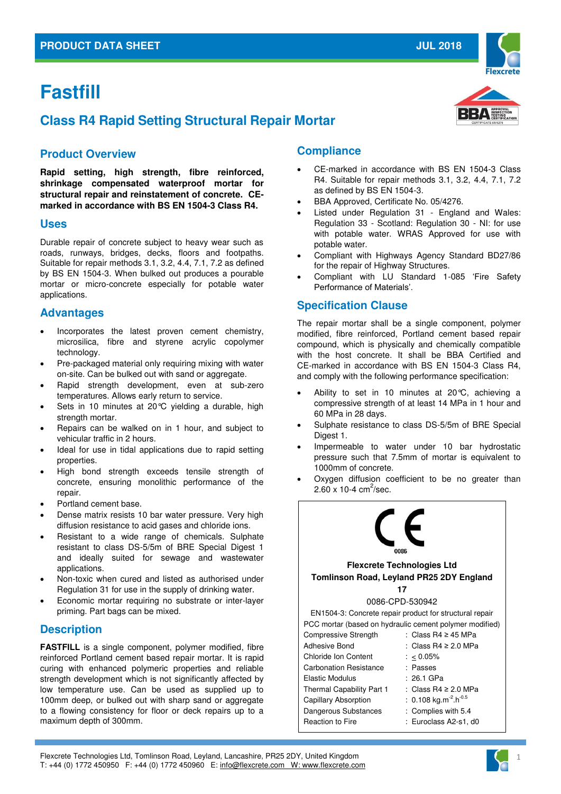# **Fastfill**

# **Class R4 Rapid Setting Structural Repair Mortar**

# **Product Overview**

**Rapid setting, high strength, fibre reinforced, shrinkage compensated waterproof mortar for structural repair and reinstatement of concrete. CEmarked in accordance with BS EN 1504-3 Class R4.** 

#### **Uses**

Durable repair of concrete subject to heavy wear such as roads, runways, bridges, decks, floors and footpaths. Suitable for repair methods 3.1, 3.2, 4.4, 7.1, 7.2 as defined by BS EN 1504-3. When bulked out produces a pourable mortar or micro-concrete especially for potable water applications.

#### **Advantages**

- Incorporates the latest proven cement chemistry, microsilica, fibre and styrene acrylic copolymer technology.
- Pre-packaged material only requiring mixing with water on-site. Can be bulked out with sand or aggregate.
- Rapid strength development, even at sub-zero temperatures. Allows early return to service.
- Sets in 10 minutes at 20°C yielding a durable, high strength mortar.
- Repairs can be walked on in 1 hour, and subject to vehicular traffic in 2 hours.
- Ideal for use in tidal applications due to rapid setting properties.
- High bond strength exceeds tensile strength of concrete, ensuring monolithic performance of the repair.
- Portland cement base.
- Dense matrix resists 10 bar water pressure. Very high diffusion resistance to acid gases and chloride ions.
- Resistant to a wide range of chemicals. Sulphate resistant to class DS-5/5m of BRE Special Digest 1 and ideally suited for sewage and wastewater applications.
- Non-toxic when cured and listed as authorised under Regulation 31 for use in the supply of drinking water.
- Economic mortar requiring no substrate or inter-layer priming. Part bags can be mixed.

#### **Description**

**FASTFILL** is a single component, polymer modified, fibre reinforced Portland cement based repair mortar. It is rapid curing with enhanced polymeric properties and reliable strength development which is not significantly affected by low temperature use. Can be used as supplied up to 100mm deep, or bulked out with sharp sand or aggregate to a flowing consistency for floor or deck repairs up to a maximum depth of 300mm.

# **Compliance**

 CE-marked in accordance with BS EN 1504-3 Class R4. Suitable for repair methods 3.1, 3.2, 4.4, 7.1, 7.2 as defined by BS EN 1504-3.

**JUL 2018**

- BBA Approved, Certificate No. 05/4276.
- Listed under Regulation 31 England and Wales: Regulation 33 - Scotland: Regulation 30 - NI: for use with potable water. WRAS Approved for use with potable water.
- Compliant with Highways Agency Standard BD27/86 for the repair of Highway Structures.
- Compliant with LU Standard 1-085 'Fire Safety Performance of Materials'.

# **Specification Clause**

The repair mortar shall be a single component, polymer modified, fibre reinforced, Portland cement based repair compound, which is physically and chemically compatible with the host concrete. It shall be BBA Certified and CE-marked in accordance with BS EN 1504-3 Class R4, and comply with the following performance specification:

- Ability to set in 10 minutes at 20°C, achieving a compressive strength of at least 14 MPa in 1 hour and 60 MPa in 28 days.
- Sulphate resistance to class DS-5/5m of BRE Special Digest 1.
- Impermeable to water under 10 bar hydrostatic pressure such that 7.5mm of mortar is equivalent to 1000mm of concrete.
- Oxygen diffusion coefficient to be no greater than  $2.60 \times 10 - 4$  cm<sup>2</sup>/sec.







1

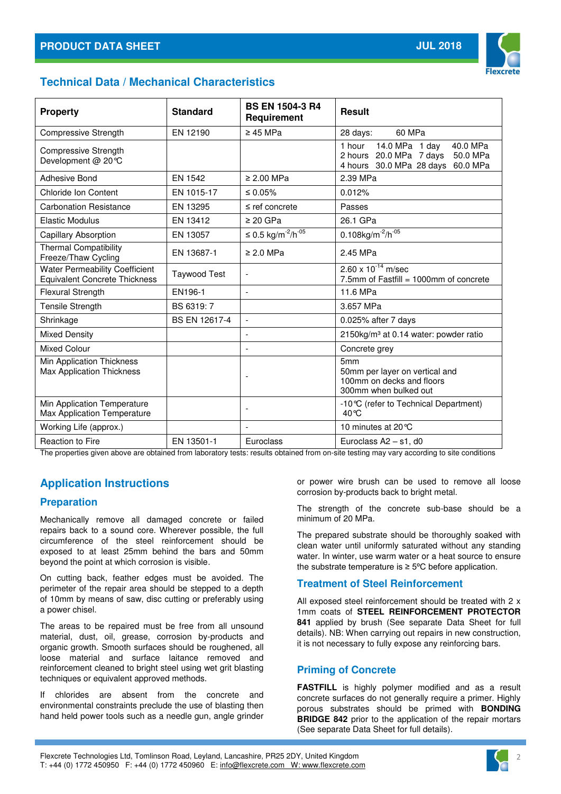

# **Technical Data / Mechanical Characteristics**

| <b>Property</b>                                                               | <b>Standard</b>     | <b>BS EN 1504-3 R4</b><br>Requirement      | <b>Result</b>                                                                                                       |
|-------------------------------------------------------------------------------|---------------------|--------------------------------------------|---------------------------------------------------------------------------------------------------------------------|
| Compressive Strength                                                          | EN 12190            | $\geq$ 45 MPa                              | 60 MPa<br>28 days:                                                                                                  |
| <b>Compressive Strength</b><br>Development @ 20 °C                            |                     |                                            | 14.0 MPa 1 day<br>1 hour<br>40.0 MPa<br>2 hours 20.0 MPa 7 days<br>50.0 MPa<br>4 hours 30.0 MPa 28 days<br>60.0 MPa |
| Adhesive Bond                                                                 | EN 1542             | $\geq 2.00$ MPa                            | 2.39 MPa                                                                                                            |
| <b>Chloride Ion Content</b>                                                   | EN 1015-17          | ≤ 0.05%                                    | 0.012%                                                                                                              |
| <b>Carbonation Resistance</b>                                                 | EN 13295            | $\leq$ ref concrete                        | Passes                                                                                                              |
| <b>Elastic Modulus</b>                                                        | EN 13412            | $\geq$ 20 GPa                              | 26.1 GPa                                                                                                            |
| Capillary Absorption                                                          | EN 13057            | ≤ 0.5 kg/m <sup>-2</sup> /h <sup>-05</sup> | $0.108$ kg/m <sup>-2</sup> /h <sup>-05</sup>                                                                        |
| <b>Thermal Compatibility</b><br>Freeze/Thaw Cycling                           | EN 13687-1          | $\geq$ 2.0 MPa                             | 2.45 MPa                                                                                                            |
| <b>Water Permeability Coefficient</b><br><b>Equivalent Concrete Thickness</b> | <b>Taywood Test</b> |                                            | $2.60 \times 10^{-14}$ m/sec<br>7.5mm of Fastfill = 1000mm of concrete                                              |
| Flexural Strength                                                             | EN196-1             | $\overline{\phantom{a}}$                   | 11.6 MPa                                                                                                            |
| Tensile Strength                                                              | BS 6319:7           |                                            | 3.657 MPa                                                                                                           |
| Shrinkage                                                                     | BS EN 12617-4       | $\overline{a}$                             | 0.025% after 7 days                                                                                                 |
| <b>Mixed Density</b>                                                          |                     | $\overline{\phantom{a}}$                   | 2150kg/m <sup>3</sup> at 0.14 water: powder ratio                                                                   |
| <b>Mixed Colour</b>                                                           |                     | $\overline{a}$                             | Concrete grey                                                                                                       |
| Min Application Thickness<br><b>Max Application Thickness</b>                 |                     | $\overline{\phantom{a}}$                   | 5mm<br>50mm per layer on vertical and<br>100mm on decks and floors<br>300mm when bulked out                         |
| Min Application Temperature<br>Max Application Temperature                    |                     | $\overline{\phantom{a}}$                   | -10 °C (refer to Technical Department)<br>40 °C                                                                     |
| Working Life (approx.)                                                        |                     | $\overline{a}$                             | 10 minutes at 20 °C                                                                                                 |
| <b>Reaction to Fire</b>                                                       | EN 13501-1          | Euroclass                                  | Euroclass $A2 - s1$ , d0                                                                                            |

The properties given above are obtained from laboratory tests: results obtained from on-site testing may vary according to site conditions

# **Application Instructions**

# **Preparation**

Mechanically remove all damaged concrete or failed repairs back to a sound core. Wherever possible, the full circumference of the steel reinforcement should be exposed to at least 25mm behind the bars and 50mm beyond the point at which corrosion is visible.

On cutting back, feather edges must be avoided. The perimeter of the repair area should be stepped to a depth of 10mm by means of saw, disc cutting or preferably using a power chisel.

The areas to be repaired must be free from all unsound material, dust, oil, grease, corrosion by-products and organic growth. Smooth surfaces should be roughened, all loose material and surface laitance removed and reinforcement cleaned to bright steel using wet grit blasting techniques or equivalent approved methods.

If chlorides are absent from the concrete and environmental constraints preclude the use of blasting then hand held power tools such as a needle gun, angle grinder

or power wire brush can be used to remove all loose corrosion by-products back to bright metal.

The strength of the concrete sub-base should be a minimum of 20 MPa.

The prepared substrate should be thoroughly soaked with clean water until uniformly saturated without any standing water. In winter, use warm water or a heat source to ensure the substrate temperature is  $≥$  5 $°C$  before application.

# **Treatment of Steel Reinforcement**

All exposed steel reinforcement should be treated with 2 x 1mm coats of **STEEL REINFORCEMENT PROTECTOR 841** applied by brush (See separate Data Sheet for full details). NB: When carrying out repairs in new construction, it is not necessary to fully expose any reinforcing bars.

# **Priming of Concrete**

**FASTFILL** is highly polymer modified and as a result concrete surfaces do not generally require a primer. Highly porous substrates should be primed with **BONDING BRIDGE 842** prior to the application of the repair mortars (See separate Data Sheet for full details).